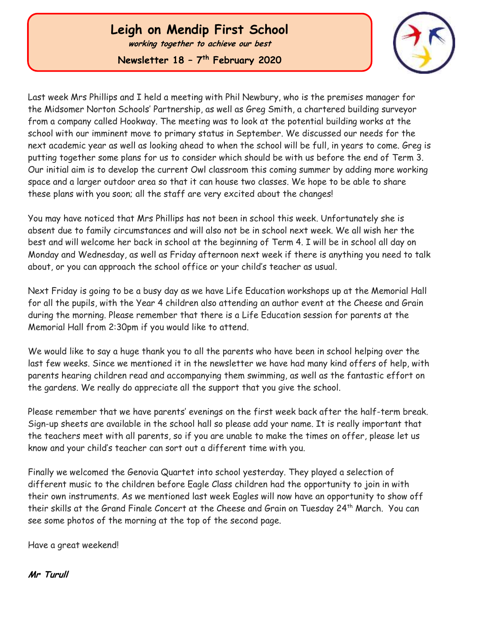## **Leigh on Mendip First School**

**working together to achieve our best**

**Newsletter 18 – 7 th February 2020**



Last week Mrs Phillips and I held a meeting with Phil Newbury, who is the premises manager for the Midsomer Norton Schools' Partnership, as well as Greg Smith, a chartered building surveyor from a company called Hookway. The meeting was to look at the potential building works at the school with our imminent move to primary status in September. We discussed our needs for the next academic year as well as looking ahead to when the school will be full, in years to come. Greg is putting together some plans for us to consider which should be with us before the end of Term 3. Our initial aim is to develop the current Owl classroom this coming summer by adding more working space and a larger outdoor area so that it can house two classes. We hope to be able to share these plans with you soon; all the staff are very excited about the changes!

You may have noticed that Mrs Phillips has not been in school this week. Unfortunately she is absent due to family circumstances and will also not be in school next week. We all wish her the best and will welcome her back in school at the beginning of Term 4. I will be in school all day on Monday and Wednesday, as well as Friday afternoon next week if there is anything you need to talk about, or you can approach the school office or your child's teacher as usual.

Next Friday is going to be a busy day as we have Life Education workshops up at the Memorial Hall for all the pupils, with the Year 4 children also attending an author event at the Cheese and Grain during the morning. Please remember that there is a Life Education session for parents at the Memorial Hall from 2:30pm if you would like to attend.

We would like to say a huge thank you to all the parents who have been in school helping over the last few weeks. Since we mentioned it in the newsletter we have had many kind offers of help, with parents hearing children read and accompanying them swimming, as well as the fantastic effort on the gardens. We really do appreciate all the support that you give the school.

Please remember that we have parents' evenings on the first week back after the half-term break. Sign-up sheets are available in the school hall so please add your name. It is really important that the teachers meet with all parents, so if you are unable to make the times on offer, please let us know and your child's teacher can sort out a different time with you.

Finally we welcomed the Genovia Quartet into school yesterday. They played a selection of different music to the children before Eagle Class children had the opportunity to join in with their own instruments. As we mentioned last week Eagles will now have an opportunity to show off their skills at the Grand Finale Concert at the Cheese and Grain on Tuesday 24th March. You can see some photos of the morning at the top of the second page.

Have a great weekend!

**Mr Turull**

 Ĩ